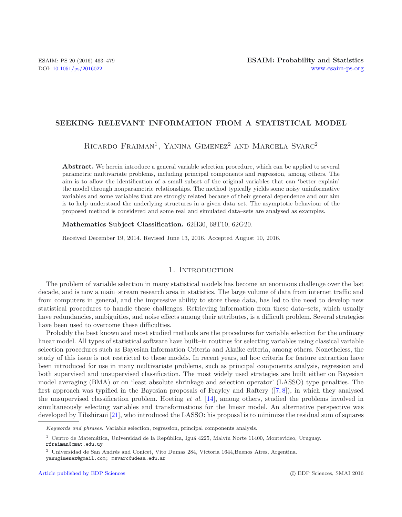### **SEEKING RELEVANT INFORMATION FROM A STATISTICAL MODEL**

RICARDO FRAIMAN<sup>1</sup>, YANINA GIMENEZ<sup>2</sup> AND MARCELA SVARC<sup>2</sup>

**Abstract.** We herein introduce a general variable selection procedure, which can be applied to several parametric multivariate problems, including principal components and regression, among others. The aim is to allow the identification of a small subset of the original variables that can 'better explain' the model through nonparametric relationships. The method typically yields some noisy uninformative variables and some variables that are strongly related because of their general dependence and our aim is to help understand the underlying structures in a given data–set. The asymptotic behaviour of the proposed method is considered and some real and simulated data–sets are analysed as examples.

**Mathematics Subject Classification.** 62H30, 68T10, 62G20.

Received December 19, 2014. Revised June 13, 2016. Accepted August 10, 2016.

# 1. INTRODUCTION

The problem of variable selection in many statistical models has become an enormous challenge over the last decade, and is now a main–stream research area in statistics. The large volume of data from internet traffic and from computers in general, and the impressive ability to store these data, has led to the need to develop new statistical procedures to handle these challenges. Retrieving information from these data–sets, which usually have redundancies, ambiguities, and noise effects among their attributes, is a difficult problem. Several strategies have been used to overcome these difficulties.

Probably the best known and most studied methods are the procedures for variable selection for the ordinary linear model. All types of statistical software have built–in routines for selecting variables using classical variable selection procedures such as Bayesian Information Criteria and Akaike criteria, among others. Nonetheless, the study of this issue is not restricted to these models. In recent years, ad hoc criteria for feature extraction have been introduced for use in many multivariate problems, such as principal components analysis, regression and both supervised and unsupervised classification. The most widely used strategies are built either on Bayesian model averaging (BMA) or on 'least absolute shrinkage and selection operator' (LASSO) type penalties. The first approach was typified in the Bayesian proposals of Frayley and Raftery ([\[7](#page-15-0), [8\]](#page-15-1)), in which they analysed the unsupervised classification problem. Hoeting *et al.* [\[14](#page-16-0)], among others, studied the problems involved in simultaneously selecting variables and transformations for the linear model. An alternative perspective was developed by Tibshirani [\[21](#page-16-1)], who introduced the LASSO: his proposal is to minimize the residual sum of squares

*Keywords and phrases.* Variable selection, regression, principal components analysis.

 $1$  Centro de Matemática, Universidad de la República, Iguá 4225, Malvín Norte 11400, Montevideo, Uruguay. rfraiman@cmat.edu.uy

 $2$  Universidad de San Andrés and Conicet, Vito Dumas 284, Victoria 1644, Buenos Aires, Argentina.

yanugimenez@gmail.com; msvarc@udesa.edu.ar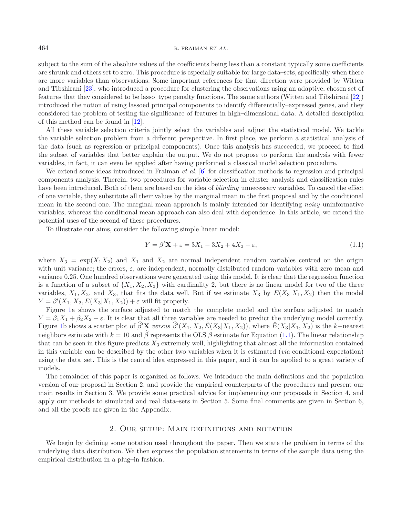subject to the sum of the absolute values of the coefficients being less than a constant typically some coefficients are shrunk and others set to zero. This procedure is especially suitable for large data–sets, specifically when there are more variables than observations. Some important references for that direction were provided by Witten and Tibshirani [\[23](#page-16-2)], who introduced a procedure for clustering the observations using an adaptive, chosen set of features that they considered to be lasso–type penalty functions. The same authors (Witten and Tibshirani [\[22](#page-16-3)]) introduced the notion of using lassoed principal components to identify differentially–expressed genes, and they considered the problem of testing the significance of features in high–dimensional data. A detailed description of this method can be found in [\[12\]](#page-16-4).

All these variable selection criteria jointly select the variables and adjust the statistical model. We tackle the variable selection problem from a different perspective. In first place, we perform a statistical analysis of the data (such as regression or principal components). Once this analysis has succeeded, we proceed to find the subset of variables that better explain the output. We do not propose to perform the analysis with fewer variables, in fact, it can even be applied after having performed a classical model selection procedure.

We extend some ideas introduced in Fraiman *et al.* [\[6](#page-15-2)] for classification methods to regression and principal components analysis. Therein, two procedures for variable selection in cluster analysis and classification rules have been introduced. Both of them are based on the idea of *blinding* unnecessary variables. To cancel the effect of one variable, they substitute all their values by the marginal mean in the first proposal and by the conditional mean in the second one. The marginal mean approach is mainly intended for identifying *noisy* uninformative variables, whereas the conditional mean approach can also deal with dependence. In this article, we extend the potential uses of the second of these procedures.

To illustrate our aims, consider the following simple linear model:

<span id="page-1-0"></span>
$$
Y = \beta' \mathbf{X} + \varepsilon = 3X_1 - 3X_2 + 4X_3 + \varepsilon,\tag{1.1}
$$

where  $X_3 = \exp(X_1 X_2)$  and  $X_1$  and  $X_2$  are normal independent random variables centred on the origin with unit variance; the errors,  $\varepsilon$ , are independent, normally distributed random variables with zero mean and variance 0.25. One hundred observations were generated using this model. It is clear that the regression function is a function of a subset of  $\{X_1, X_2, X_3\}$  with cardinality 2, but there is no linear model for two of the three variables,  $X_1, X_2$ , and  $X_3$ , that fits the data well. But if we estimate  $X_3$  by  $E(X_3|X_1, X_2)$  then the model  $Y = \beta'(X_1, X_2, E(X_3 | X_1, X_2)) + \varepsilon$  will fit properly.

Figure [1a](#page-2-0) shows the surface adjusted to match the complete model and the surface adjusted to match  $Y = \beta_1 X_1 + \beta_2 X_2 + \varepsilon$ . It is clear that all three variables are needed to predict the underlying model correctly. Figure [1b](#page-2-0) shows a scatter plot of  $\hat{\beta}'$ **X** *versus*  $\hat{\beta}'(X_1, X_2, \hat{E}(X_3|X_1, X_2))$ , where  $\hat{E}(X_3|X_1, X_2)$  is the k-nearest neighbors estimate with  $k = 10$  and  $\beta$  represents the OLS  $\beta$  estimate for Equation [\(1.1\)](#page-1-0). The linear relationship that can be seen in this figure predicts  $X_3$  extremely well, highlighting that almost all the information contained in this variable can be described by the other two variables when it is estimated (*via* conditional expectation) using the data–set. This is the central idea expressed in this paper, and it can be applied to a great variety of models.

The remainder of this paper is organized as follows. We introduce the main definitions and the population version of our proposal in Section 2, and provide the empirical counterparts of the procedures and present our main results in Section 3. We provide some practical advice for implementing our proposals in Section 4, and apply our methods to simulated and real data–sets in Section 5. Some final comments are given in Section 6, and all the proofs are given in the Appendix.

# 2. Our setup: Main definitions and notation

We begin by defining some notation used throughout the paper. Then we state the problem in terms of the underlying data distribution. We then express the population statements in terms of the sample data using the empirical distribution in a plug–in fashion.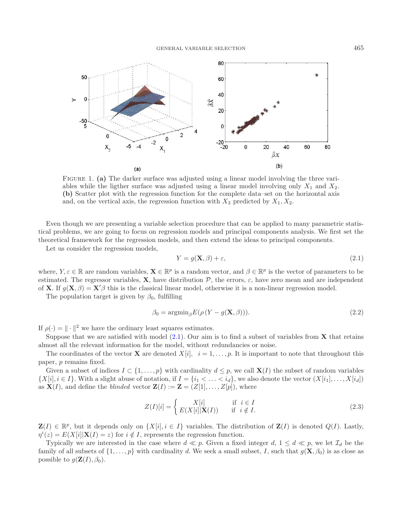<span id="page-2-0"></span>

<span id="page-2-1"></span>FIGURE 1. (a) The darker surface was adjusted using a linear model involving the three variables while the ligther surface was adjusted using a linear model involving only  $X_1$  and  $X_2$ . **(b)** Scatter plot with the regression function for the complete data–set on the horizontal axis and, on the vertical axis, the regression function with  $X_3$  predicted by  $X_1, X_2$ .

Even though we are presenting a variable selection procedure that can be applied to many parametric statistical problems, we are going to focus on regression models and principal components analysis. We first set the theoretical framework for the regression models, and then extend the ideas to principal components.

Let us consider the regression models,

$$
Y = g(\mathbf{X}, \beta) + \varepsilon,\tag{2.1}
$$

where,  $Y, \varepsilon \in \mathbb{R}$  are random variables,  $\mathbf{X} \in \mathbb{R}^p$  is a random vector, and  $\beta \in \mathbb{R}^p$  is the vector of parameters to be estimated. The regressor variables, **X**, have distribution  $\mathcal{P}$ , the errors,  $\varepsilon$ , have zero mean and are independent of **X**. If  $g(\mathbf{X}, \beta) = \mathbf{X}'\beta$  this is the classical linear model, otherwise it is a non-linear regression model.

The population target is given by  $\beta_0$ , fulfilling

$$
\beta_0 = \operatorname{argmin}_{\beta} E(\rho \left( Y - g(\mathbf{X}, \beta) \right)). \tag{2.2}
$$

If  $\rho(\cdot) = \|\cdot\|^2$  we have the ordinary least squares estimates.

Suppose that we are satisfied with model [\(2.1\)](#page-2-1). Our aim is to find a subset of variables from **X** that retains almost all the relevant information for the model, without redundancies or noise.

The coordinates of the vector **X** are denoted  $X[i]$ ,  $i = 1, \ldots, p$ . It is important to note that throughout this paper, p remains fixed.

Given a subset of indices  $I \subset \{1,\ldots,p\}$  with cardinality  $d \leq p$ , we call **X**(I) the subset of random variables  $\{X[i], i \in I\}$ . With a slight abuse of notation, if  $I = \{i_1 < \ldots < i_d\}$ , we also denote the vector  $(X[i_1], \ldots, X[i_d])$ as  $\mathbf{X}(I)$ , and define the *blinded* vector  $\mathbf{Z}(I) := \mathbf{Z} = (Z[1], \ldots, Z[p])$ , where

$$
Z(I)[i] = \begin{cases} X[i] & \text{if } i \in I \\ E(X[i]|\mathbf{X}(I)) & \text{if } i \notin I. \end{cases}
$$
 (2.3)

 $\mathbf{Z}(I) \in \mathbb{R}^p$ , but it depends only on  $\{X[i], i \in I\}$  variables. The distribution of  $\mathbf{Z}(I)$  is denoted  $Q(I)$ . Lastly,  $\eta^{i}(z) = E(X[i]|\mathbf{X}(I) = z)$  for  $i \notin I$ , represents the regression function.

Typically we are interested in the case where  $d \ll p$ . Given a fixed integer d,  $1 \leq d \ll p$ , we let  $\mathcal{I}_d$  be the family of all subsets of  $\{1,\ldots,p\}$  with cardinality d. We seek a small subset, I, such that  $g(\mathbf{X},\beta_0)$  is as close as possible to  $g(\mathbf{Z}(I), \beta_0)$ .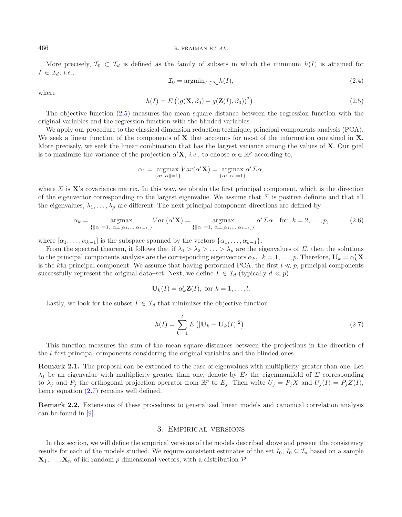#### <span id="page-3-0"></span>466 R. FRAIMAN *ET AL.*

More precisely,  $\mathcal{I}_0 \subset \mathcal{I}_d$  is defined as the family of subsets in which the minimum  $h(I)$  is attained for  $I \in \mathcal{I}_d, i.e.,$ 

$$
\mathcal{I}_0 = \operatorname{argmin}_{I \in \mathcal{I}_d} h(I),\tag{2.4}
$$

where

$$
h(I) = E\left( (g(\mathbf{X}, \beta_0) - g(\mathbf{Z}(I), \beta_0))^2 \right).
$$
 (2.5)

The objective function [\(2.5\)](#page-3-0) measures the mean square distance between the regression function with the original variables and the regression function with the blinded variables.

We apply our procedure to the classical dimension reduction technique, principal components analysis (PCA). We seek a linear function of the components of **X** that accounts for most of the information contained in **X**. More precisely, we seek the linear combination that has the largest variance among the values of **X**. Our goal is to maximize the variance of the projection  $\alpha' \mathbf{X}$ , *i.e.*, to choose  $\alpha \in \mathbb{R}^p$  according to,

<span id="page-3-1"></span>
$$
\alpha_1 = \underset{\{\alpha : ||\alpha|| = 1\}}{\operatorname{argmax}} Var(\alpha' \mathbf{X}) = \underset{\{\alpha : ||\alpha|| = 1\}}{\operatorname{argmax}} \alpha' \Sigma \alpha,
$$

where  $\Sigma$  is **X**'s covariance matrix. In this way, we obtain the first principal component, which is the direction of the eigenvector corresponding to the largest eigenvalue. We assume that  $\Sigma$  is positive definite and that all the eigenvalues,  $\lambda_1,\ldots,\lambda_p$  are different. The next principal component directions are defined by

$$
\alpha_k = \underset{\{||\alpha||=1, \ \alpha\perp[\alpha_1,\ldots,\alpha_{k-1}]\}}{\text{argmax}} Var\left(\alpha' \mathbf{X}\right) = \underset{\{||\alpha||=1, \ \alpha\perp[\alpha_1,\ldots,\alpha_{k-1}]\}}{\text{argmax}} \alpha' \Sigma \alpha \quad \text{for} \quad k=2,\ldots,p,\tag{2.6}
$$

where  $[\alpha_1,\ldots,\alpha_{k-1}]$  is the subspace spanned by the vectors  $\{\alpha_1,\ldots,\alpha_{k-1}\}.$ 

From the spectral theorem, it follows that if  $\lambda_1 > \lambda_2 > \ldots > \lambda_p$  are the eigenvalues of  $\Sigma$ , then the solutions to the principal components analysis are the corresponding eigenvectors  $\alpha_k$ ,  $k = 1, \ldots, p$ . Therefore,  $\mathbf{U}_k = \alpha'_k \mathbf{X}$ is the kth principal component. We assume that having performed PCA, the first  $l \ll p$ , principal components successfully represent the original data–set. Next, we define  $I \in \mathcal{I}_d$  (typically  $d \ll p$ )

$$
\mathbf{U}_k(I) = \alpha'_k \mathbf{Z}(I), \text{ for } k = 1, \dots, l.
$$

Lastly, we look for the subset  $I \in \mathcal{I}_d$  that minimizes the objective function,

$$
h(I) = \sum_{k=1}^{l} E\left( |\mathbf{U}_k - \mathbf{U}_k(I)|^2 \right).
$$
 (2.7)

This function measures the sum of the mean square distances between the projections in the direction of the l first principal components considering the original variables and the blinded ones.

**Remark 2.1.** The proposal can be extended to the case of eigenvalues with multiplicity greater than one. Let  $\lambda_j$  be an eigenvalue with multiplicity greater than one, denote by  $E_j$  the eigenmanifold of  $\Sigma$  corresponding to  $\lambda_j$  and  $P_j$  the orthogonal projection operator from  $\mathbb{R}^p$  to  $E_j$ . Then write  $U_j = P_j X$  and  $U_j(I) = P_j Z(I)$ , hence equation  $(2.7)$  remains well defined.

<span id="page-3-2"></span>**Remark 2.2.** Extensions of these procedures to generalized linear models and canonical correlation analysis can be found in [\[9\]](#page-15-3).

### 3. Empirical versions

In this section, we will define the empirical versions of the models described above and present the consistency results for each of the models studied. We require consistent estimates of the set  $I_0$ ,  $I_0 \subseteq \mathcal{I}_d$  based on a sample  $\mathbf{X}_1,\ldots,\mathbf{X}_n$  of iid random p dimensional vectors, with a distribution  $\mathcal{P}$ .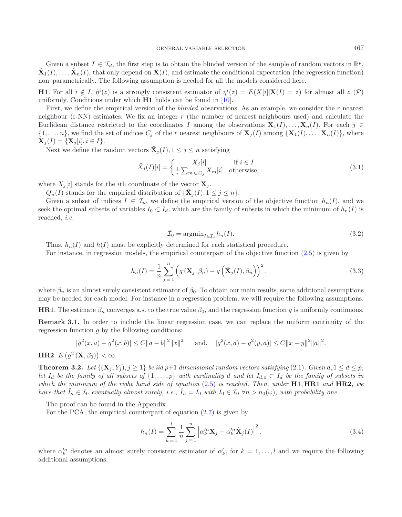Given a subset  $I \in \mathcal{I}_d$ , the first step is to obtain the blinded version of the sample of random vectors in  $\mathbb{R}^p$ ,  $\hat{\mathbf{X}}_1(I),\ldots,\hat{\mathbf{X}}_n(I)$ , that only depend on  $\mathbf{X}(I)$ , and estimate the conditional expectation (the regression function) non–parametrically. The following assumption is needed for all the models considered here.

**H1**. For all  $i \notin I$ ,  $\hat{\eta}^i(z)$  is a strongly consistent estimator of  $\eta^i(z) = E(X[i]|\mathbf{X}(I) = z)$  for almost all  $z(\mathcal{P})$ uniformly. Conditions under which **H1** holds can be found in [\[10](#page-15-4)].

First, we define the empirical version of the *blinded* observations. As an example, we consider the r nearest neighbour (r-NN) estimates. We fix an integer r (the number of nearest neighbours used) and calculate the Euclidean distance restricted to the coordinates I among the observations  $\mathbf{X}_1(I),\ldots,\mathbf{X}_n(I)$ . For each j ∈  $\{1,\ldots,n\}$ , we find the set of indices  $C_j$  of the r nearest neighbours of  $\mathbf{X}_j(I)$  among  $\{\mathbf{X}_1(I),\ldots,\mathbf{X}_n(I)\}$ , where  $\mathbf{X}_i(I) = {\mathbf{X}_i[i], i \in I}.$ 

Next we define the random vectors  $\hat{\mathbf{X}}_i(I), 1 \leq j \leq n$  satisfying

$$
\hat{X}_j(I)[i] = \begin{cases} X_j[i] & \text{if } i \in I \\ \frac{1}{r} \sum_{m \in C_j} X_m[i] & \text{otherwise,} \end{cases} \tag{3.1}
$$

where  $X_j[i]$  stands for the *i*th coordinate of the vector  $\mathbf{X}_j$ .

 $Q_n(I)$  stands for the empirical distribution of  ${\{\mathbf X_i(I), 1 \leq j \leq n\}}$ .

Given a subset of indices  $I \in \mathcal{I}_d$ , we define the empirical version of the objective function  $h_n(I)$ , and we seek the optimal subsets of variables  $I_0 \subset I_d$ , which are the family of subsets in which the minimum of  $h_n(I)$  is reached, *i.e.*

<span id="page-4-2"></span>
$$
\hat{\mathcal{I}}_0 = \operatorname{argmin}_{I \in \mathcal{I}_d} h_n(I). \tag{3.2}
$$

Thus,  $h_n(I)$  and  $h(I)$  must be explicitly determined for each statistical procedure.

<span id="page-4-0"></span>For instance, in regression models, the empirical counterpart of the objective function [\(2.5\)](#page-3-0) is given by

$$
h_n(I) = \frac{1}{n} \sum_{j=1}^n \left( g\left(\mathbf{X}_j, \beta_n\right) - g\left(\hat{\mathbf{X}}_j(I), \beta_n\right) \right)^2, \tag{3.3}
$$

where  $\beta_n$  is an almost surely consistent estimator of  $\beta_0$ . To obtain our main results, some additional assumptions may be needed for each model. For instance in a regression problem, we will require the following assumptions.

**HR1**. The estimate  $\beta_n$  converges a.s. to the true value  $\beta_0$ , and the regression function g is uniformly continuous.

**Remark 3.1.** In order to include the linear regression case, we can replace the uniform continuity of the regression function  $q$  by the following conditions:

$$
|g^{2}(x,a) - g^{2}(x,b)| \le C \|a - b\|^{2} \|x\|^{2} \quad \text{and,} \quad |g^{2}(x,a) - g^{2}(y,a)| \le C \|x - y\|^{2} \|a\|^{2}.
$$

# <span id="page-4-1"></span>**HR2**.  $E(g^2(\mathbf{X}, \beta_0)) < \infty$ .

**Theorem 3.2.** *Let*  $\{(\mathbf{X}_i, Y_i), j \geq 1\}$  *be iid*  $p+1$  *dimensional random vectors satisfying* [\(2.1\)](#page-2-1)*. Given*  $d, 1 \leq d \leq p$ *, let*  $I_d$  *be the family of all subsets of*  $\{1,\ldots,p\}$  *with cardinality* d and let  $I_{d,0} \subset I_d$  be the family of subsets in *which the minimum of the right–hand side of equation* [\(2.5\)](#page-3-0) *is reached. Then, under* **H1**, **HR1** *and* **HR2***, we have that*  $\hat{I}_n \in \mathcal{I}_0$  *eventually almost surely, i.e.,*  $\hat{I}_n = I_0$  *with*  $I_0 \in \mathcal{I}_0$   $\forall n > n_0(\omega)$ *, with probability one.* 

The proof can be found in the Appendix.

For the PCA, the empirical counterpart of equation [\(2.7\)](#page-3-1) is given by

$$
h_n(I) = \sum_{k=1}^l \frac{1}{n} \sum_{j=1}^n \left| \alpha_k^{\prime n} \mathbf{X}_j - \alpha_k^{\prime n} \hat{\mathbf{X}}_j(I) \right|^2.
$$
 (3.4)

where  $\alpha_k'^n$  denotes an almost surely consistent estimator of  $\alpha_k'$ , for  $k = 1, \ldots, l$  and we require the following additional assumptions.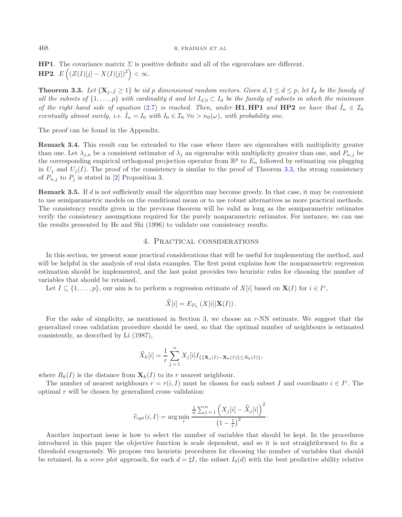**HP1**. The covariance matrix  $\Sigma$  is positive definite and all of the eigenvalues are different. **HP2.**  $E\left( (Z(I)[j] - X(I)[j])^2 \right) < \infty$ .

<span id="page-5-0"></span>**Theorem 3.3.** Let  $\{X_j, j \geq 1\}$  be iid p dimensional random vectors. Given  $d, 1 \leq d \leq p$ , let  $I_d$  be the family of all the subsets of  $\{1,\ldots,p\}$  with cardinality d and let  $I_{d,0} \subset I_d$  be the family of subsets in which the minimum *of the right–hand side of equation* [\(2.7\)](#page-3-1) *is reached. Then, under* **H1**, **HP1** *and* **HP2** *we have that*  $I_n \in \mathcal{I}_0$ *eventually almost surely, i.e.*  $\hat{I}_n = I_0$  *with*  $I_0 \in I_0 \ \forall n > n_0(\omega)$ *, with probability one.* 

The proof can be found in the Appendix.

**Remark 3.4.** This result can be extended to the case where there are eigenvalues with multiplicity greater than one. Let  $\lambda_{j,n}$  be a consistent estimator of  $\lambda_j$  an eigenvalue with multiplicity greater than one, and  $P_{n,j}$  be the corresponding empirical orthogonal projection operator from  $\mathbb{R}^p$  to  $E_n$  followed by estimating *via* plugging in  $U_j$  and  $U_j(I)$ . The proof of the consistency is similar to the proof of Theorem [3.3,](#page-5-0) the strong consistency of  $P_{n,j}$  to  $P_j$  is stated in [\[2\]](#page-15-5) Proposition 3.

**Remark 3.5.** If d is not sufficiently small the algorithm may become greedy. In that case, it may be convenient to use semiparametric models on the conditional mean or to use robust alternatives as more practical methods. The consistency results given in the previous theorem will be valid as long as the semiparametric estimates verify the consistency assumptions required for the purely nonparametric estimates. For instance, we can use the results presented by He and Shi (1996) to validate our consistency results.

### 4. Practical considerations

<span id="page-5-1"></span>In this section, we present some practical considerations that will be useful for implementing the method, and will be helpful in the analysis of real data examples. The first point explains how the nonparametric regression estimation should be implemented, and the last point provides two heuristic rules for choosing the number of variables that should be retained.

Let  $I \subseteq \{1,\ldots,p\}$ , our aim is to perform a regression estimate of  $X[i]$  based on  $\mathbf{X}(I)$  for  $i \in I^c$ ,

$$
\widehat{X}[i] = E_{P_n} \left( X[i] | \mathbf{X}(I) \right).
$$

For the sake of simplicity, as mentioned in Section [3,](#page-3-2) we choose an r-NN estimate. We suggest that the generalized cross validation procedure should be used, so that the optimal number of neighbours is estimated consistently, as described by Li (1987),

$$
\widehat{X}_k[i] = \frac{1}{r} \sum_{j=1}^n X_j[i] I_{\{||\mathbf{X}_j(I) - \mathbf{X}_k(I)|| \le R_k(I)\}},
$$

where  $R_k(I)$  is the distance from  $\mathbf{X}_k(I)$  to its r nearest neighbour.

The number of nearest neighbours  $r = r(i, I)$  must be chosen for each subset I and coordinate  $i \in I<sup>c</sup>$ . The optimal  $r$  will be chosen by generalized cross–validation:

$$
\widehat{r}_{\rm opt}(i,I) = \arg\min_{r} \frac{\frac{1}{n} \sum_{j=1}^{n} (X_j[i] - \widehat{X}_j[i])^2}{(1 - \frac{1}{r})^2}.
$$

Another important issue is how to select the number of variables that should be kept. In the procedures introduced in this paper the objective function is scale dependent, and so it is not straightforward to fix a threshold exogenously. We propose two heuristic procedures for choosing the number of variables that should be retained. In a *scree plot* approach, for each  $d = \sharp I$ , the subset  $I_0(d)$  with the best predictive ability relative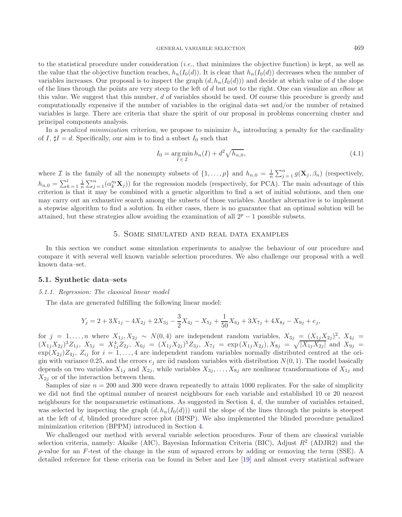to the statistical procedure under consideration (*i.e.*, that minimizes the objective function) is kept, as well as the value that the objective function reaches,  $h_n(I_0(d))$ . It is clear that  $h_n(I_0(d))$  decreases when the number of variables increases. Our proposal is to inspect the graph  $(d, h_n(I_0(d)))$  and decide at which value of d the slope of the lines through the points are very steep to the left of d but not to the right. One can visualize an *elbow* at this value. We suggest that this number, d of variables should be used. Of course this procedure is greedy and computationally expensive if the number of variables in the original data–set and/or the number of retained variables is large. There are criteria that share the spirit of our proposal in problems concerning cluster and principal components analysis.

In a *penalized minimization* criterion, we propose to minimize  $h_n$  introducing a penalty for the cardinality of I,  $sharp I = d$ . Specifically, our aim is to find a subset  $I_0$  such that

$$
I_0 = \underset{I \in \mathcal{I}}{\arg \min} \, h_n(I) + d^2 \sqrt{h_{n,0}},\tag{4.1}
$$

where *I* is the family of all the nonempty subsets of  $\{1,\ldots,p\}$  and  $h_{n,0} = \frac{1}{n} \sum_{j=1}^{n} g(\mathbf{X}_j, \beta_n)$  (respectively,  $h_{n,0} = \sum_{k=1}^{l} \frac{1}{n} \sum_{j=1}^{n} (\alpha_k^{\prime n} \mathbf{X}_j)$  for the regression models (respectively, for PCA). The main advantage of this criterion is that it may be combined with a genetic algorithm to find a set of initial solutions, and then one may carry out an exhaustive search among the subsets of those variables. Another alternative is to implement a stepwise algorithm to find a solution. In either cases, there is no guarantee that an optimal solution will be attained, but these strategies allow avoiding the examination of all  $2^p - 1$  possible subsets.

# 5. Some simulated and real data examples

In this section we conduct some simulation experiments to analyse the behaviour of our procedure and compare it with several well known variable selection procedures. We also challenge our proposal with a well known data–set.

#### **5.1. Synthetic data–sets**

#### *5.1.1. Regression: The classical linear model*

The data are generated fulfilling the following linear model:

$$
Y_j = 2 + 3X_{1j} - 4X_{2j} + 2X_{3j} - \frac{3}{2}X_{4j} - X_{5j} + \frac{1}{50}X_{6j} + 3X_{7j} + 4X_{8j} - X_{9j} + e_j,
$$

for  $j = 1, \ldots, n$  where  $X_{1j}, X_{2j} \sim N(0, 4)$  are independent random variables,  $X_{3j} = (X_{1j}X_{2j})^2$ ,  $X_{4j} =$  $(X_{1j}X_{2j})^3Z_{1j}$ ,  $X_{5j} = X_{1j}^4Z_{2j}$ ,  $X_{6j} = (X_{1j}X_{2j})^5Z_{3j}$ ,  $X_{7j} = \exp(X_{1j}X_{2j})$ ,  $X_{8j} = \sqrt{|X_{1j}X_{2j}|}$  and  $X_{9j} =$  $\exp(X_{2j})Z_{4j}, Z_{ij}$  for  $i = 1, \ldots, 4$  are independent random variables normally distributed centred at the origin with variance 0.25, and the errors  $e_j$  are iid random variables with distribution  $N(0, 1)$ . The model basically depends on two variables  $X_{1j}$  and  $X_{2j}$ , while variables  $X_{3j}, \ldots, X_{8j}$  are nonlinear transformations of  $X_{1j}$  and  $X_{2j}$  or of the interaction between them.

Samples of size  $n = 200$  and 300 were drawn repeatedly to attain 1000 replicates. For the sake of simplicity we did not find the optimal number of nearest neighbours for each variable and established 10 or 20 nearest neighbours for the nonparametric estimations. As suggested in Section 4, d, the number of variables retained, was selected by inspecting the graph  $(d, h_n(I_0(d)))$  until the slope of the lines through the points is steepest at the left of d, blinded procedure scree plot (BPSP). We also implemented the blinded procedure penalized minimization criterion (BPPM) introduced in Section [4.](#page-5-1)

We challenged our method with several variable selection procedures. Four of them are classical variable selection criteria, namely: Akaike (AIC), Bayesian Information Criteria (BIC), Adjust  $R^2$  (ADJR2) and the p-value for an F-test of the change in the sum of squared errors by adding or removing the term (SSE). A detailed reference for these criteria can be found in Seber and Lee [\[19\]](#page-16-5) and almost every statistical software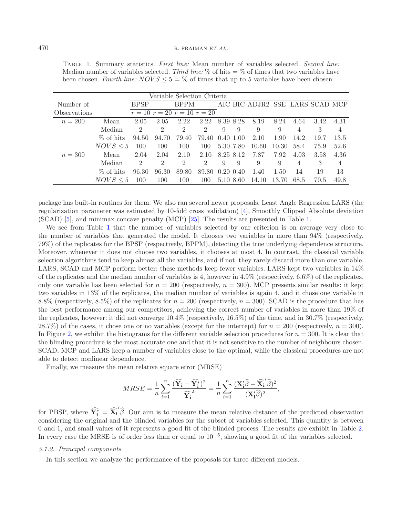<span id="page-7-0"></span>Table 1. Summary statistics. *First line:* Mean number of variables selected. *Second line:* Median number of variables selected. *Third line:*  $\%$  of hits  $=$   $\%$  of times that two variables have been chosen. *Fourth line:*  $NOVS \le 5 = \%$  of times that up to 5 variables have been chosen.

| Variable Selection Criteria |               |                |                |                               |                |              |   |                                 |       |      |      |      |
|-----------------------------|---------------|----------------|----------------|-------------------------------|----------------|--------------|---|---------------------------------|-------|------|------|------|
| Number of                   |               | <b>BPSP</b>    |                | <b>BPPM</b>                   |                |              |   | AIC BIC ADJR2 SSE LARS SCAD MCP |       |      |      |      |
| Observations                |               |                |                | $r = 10 r = 20 r = 10 r = 20$ |                |              |   |                                 |       |      |      |      |
| $n = 200$                   | Mean          | 2.05           | 2.05           | 2.22                          | 2.22           | 8.39 8.28    |   | 8.19                            | 8.24  | 4.64 | 3.42 | 4.31 |
|                             | Median        | $\mathfrak{D}$ | $\mathcal{D}$  | $\mathcal{D}$                 | $\mathcal{D}$  | 9            | 9 | 9                               | 9     | 4    | 3    | 4    |
|                             | % of hits     | 94.50          | 94.70          | 79.40                         | 79.40          | $0.40$ 1.00  |   | 2.10                            | 1.90  | 14.2 | 19.7 | 13.5 |
|                             | $NOVS \leq 5$ | 100            | 100            | 100                           | 100            | 5.30 7.80    |   | 10.60                           | 10.30 | 58.4 | 75.9 | 52.6 |
| $n = 300$                   | Mean          | 2.04           | 2.04           | 2.10                          | 2.10           | 8.25 8.12    |   | 7.87                            | 7.92  | 4.03 | 3.58 | 4.36 |
|                             | Median        | $\mathfrak{D}$ | $\mathfrak{D}$ | $\mathfrak{D}$                | $\mathfrak{D}$ | 9            | 9 | 9                               | 9     | 4    | 3    | 4    |
|                             | % of hits     | 96.30          | 96.30          | 89.80                         | 89.80          | $0.20\;0.40$ |   | 1.40                            | 1.50  | 14   | 19   | 13   |
|                             | $NOVS \leq 5$ | 100            | 100            | 100                           | 100            | 5.10 8.60    |   | 14.10                           | 13.70 | 68.5 | 70.5 | 49.8 |

package has built-in routines for them. We also ran several newer proposals, Least Angle Regression LARS (the regularization parameter was estimated by 10-fold cross–validation) [\[4\]](#page-15-6), Smoothly Clipped Absolute deviation (SCAD) [\[5](#page-15-7)], and minimax concave penalty (MCP) [\[25](#page-16-6)]. The results are presented in Table [1.](#page-7-0)

We see from Table [1](#page-7-0) that the number of variables selected by our criterion is on average very close to the number of variables that generated the model. It chooses two variables in more than 94% (respectively, 79%) of the replicates for the BPSP (respectively, BPPM), detecting the true underlying dependence structure. Moreover, whenever it does not choose two variables, it chooses at most 4. In contrast, the classical variable selection algorithms tend to keep almost all the variables, and if not, they rarely discard more than one variable. LARS, SCAD and MCP perform better: these methods keep fewer variables. LARS kept two variables in 14% of the replicates and the median number of variables is 4, however in  $4.9\%$  (respectively,  $6.6\%$ ) of the replicates, only one variable has been selected for  $n = 200$  (respectively,  $n = 300$ ). MCP presents similar results: it kept two variables in 13% of the replicates, the median number of variables is again 4, and it chose one variable in 8.8% (respectively, 8.5%) of the replicates for  $n = 200$  (respectively,  $n = 300$ ). SCAD is the procedure that has the best performance among our competitors, achieving the correct number of variables in more than 19% of the replicates, however: it did not converge 10.4% (respectively, 16.5%) of the time, and in 30.7% (respectively, 28.7%) of the cases, it chose one or no variables (except for the intercept) for  $n = 200$  (respectively,  $n = 300$ ). In Figure [2,](#page-9-0) we exhibit the histograms for the different variable selection procedures for  $n = 300$ . It is clear that the blinding procedure is the most accurate one and that it is not sensitive to the number of neighbours chosen. SCAD, MCP and LARS keep a number of variables close to the optimal, while the classical procedures are not able to detect nonlinear dependence.

Finally, we measure the mean relative square error (MRSE)

$$
MRSE = \frac{1}{n} \sum_{i=1}^{n} \frac{(\widehat{\mathbf{Y}_{i}} - \widehat{\mathbf{Y}_{i}^{*}})^{2}}{\widehat{\mathbf{Y}_{i}^{2}}} = \frac{1}{n} \sum_{i=1}^{n} \frac{(\mathbf{X}_{i}^{\prime} \widehat{\boldsymbol{\beta}} - \widehat{\mathbf{X}_{i}^{\prime}} \widehat{\boldsymbol{\beta}})^{2}}{(\mathbf{X}_{i}^{\prime} \widehat{\boldsymbol{\beta}})^{2}},
$$

for PBSP, where  $\widehat{Y}_i^* = \widehat{X}_i$  $\hat{\beta}$ . Our aim is to measure the mean relative distance of the predicted observation considering the original and the blinded variables for the subset of variables selected. This quantity is between 0 and 1, and small values of it represents a good fit of the blinded process. The results are exhibit in Table [2.](#page-8-0) In every case the MRSE is of order less than or equal to  $10^{-5}$ , showing a good fit of the variables selected.

#### *5.1.2. Principal components*

In this section we analyze the performance of the proposals for three different models.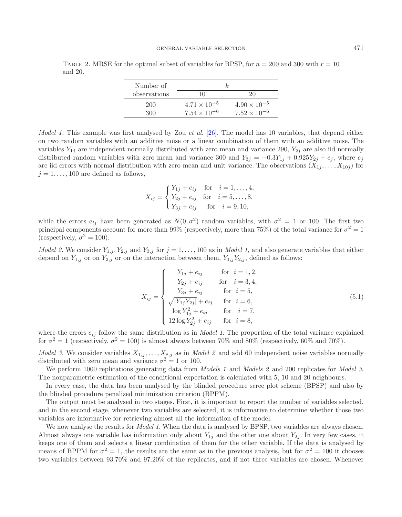<span id="page-8-0"></span>TABLE 2. MRSE for the optimal subset of variables for BPSP, for  $n = 200$  and 300 with  $r = 10$ and 20.

| Number of    | k.                    |                       |  |  |  |  |
|--------------|-----------------------|-----------------------|--|--|--|--|
| observations | 10                    | 20                    |  |  |  |  |
| 200          | $4.71 \times 10^{-5}$ | $4.90 \times 10^{-5}$ |  |  |  |  |
| 300          | $7.54 \times 10^{-6}$ | $7.52 \times 10^{-6}$ |  |  |  |  |

*Model 1.* This example was first analysed by Zou *et al.* [\[26\]](#page-16-7). The model has 10 variables, that depend either on two random variables with an additive noise or a linear combination of them with an additive noise. The variables  $Y_{1j}$  are independent normally distributed with zero mean and variance 290,  $Y_{2j}$  are also iid normally distributed random variables with zero mean and variance 300 and  $Y_{3j} = -0.3Y_{1j} + 0.925Y_{2j} + e_j$ , where  $e_j$ are iid errors with normal distribution with zero mean and unit variance. The observations  $(X_1, \ldots, X_{10j})$  for  $j = 1, \ldots, 100$  are defined as follows,

$$
X_{ij} = \begin{cases} Y_{1j} + e_{ij} & \text{for } i = 1, ..., 4, \\ Y_{2j} + e_{ij} & \text{for } i = 5, ..., 8, \\ Y_{3j} + e_{ij} & \text{for } i = 9, 10, \end{cases}
$$

while the errors  $e_{ij}$  have been generated as  $N(0, \sigma^2)$  random variables, with  $\sigma^2 = 1$  or 100. The first two principal components account for more than 99% (respectively, more than 75%) of the total variance for  $\sigma^2 = 1$ (respectively,  $\sigma^2 = 100$ ).

<span id="page-8-1"></span>*Model 2.* We consider  $Y_{1,j}$ ,  $Y_{2,j}$  and  $Y_{3,j}$  for  $j = 1, \ldots, 100$  as in *Model 1*, and also generate variables that either depend on  $Y_{1,j}$  or on  $Y_{2,j}$  or on the interaction between them,  $Y_{1,j}Y_{2,j}$ , defined as follows:

$$
X_{ij} = \begin{cases} Y_{1j} + e_{ij} & \text{for } i = 1, 2, \\ Y_{2j} + e_{ij} & \text{for } i = 3, 4, \\ Y_{3j} + e_{ij} & \text{for } i = 5, \\ \sqrt{|Y_{1j}Y_{2j}|} + e_{ij} & \text{for } i = 6, \\ \log Y_{1j}^2 + e_{ij} & \text{for } i = 7, \\ 12 \log Y_{2j}^2 + e_{ij} & \text{for } i = 8, \end{cases}
$$
(5.1)

where the errors  $e_{ij}$  follow the same distribution as in *Model 1*. The proportion of the total variance explained for  $\sigma^2 = 1$  (respectively,  $\sigma^2 = 100$ ) is almost always between 70% and 80% (respectively, 60% and 70%).

*Model 3.* We consider variables  $X_{1,j}, \ldots, X_{8,j}$  as in *Model 2* and add 60 independent noise variables normally distributed with zero mean and variance  $\sigma^2 = 1$  or 100.

We perform 1000 replications generating data from *Models 1* and *Models 2* and 200 replicates for *Model 3*. The nonparametric estimation of the conditional expectation is calculated with 5, 10 and 20 neighbours.

In every case, the data has been analysed by the blinded procedure scree plot scheme (BPSP) and also by the blinded procedure penalized minimization criterion (BPPM).

The output must be analysed in two stages. First, it is important to report the number of variables selected, and in the second stage, whenever two variables are selected, it is informative to determine whether those two variables are informative for retrieving almost all the information of the model.

We now analyse the results for *Model 1*. When the data is analysed by BPSP, two variables are always chosen. Almost always one variable has information only about  $Y_{1j}$  and the other one about  $Y_{2j}$ . In very few cases, it keeps one of them and selects a linear combination of them for the other variable. If the data is analysed by means of BPPM for  $\sigma^2 = 1$ , the results are the same as in the previous analysis, but for  $\sigma^2 = 100$  it chooses two variables between 93.70% and 97.20% of the replicates, and if not three variables are chosen. Whenever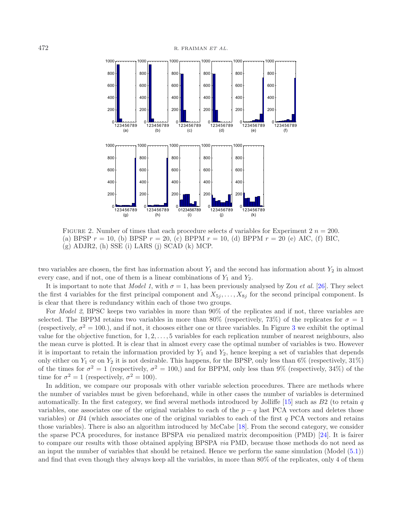<span id="page-9-0"></span>

FIGURE 2. Number of times that each procedure selects d variables for Experiment 2  $n = 200$ . (a) BPSP  $r = 10$ , (b) BPSP  $r = 20$ , (c) BPPM  $r = 10$ , (d) BPPM  $r = 20$  (e) AIC, (f) BIC,  $(g)$  ADJR2,  $(h)$  SSE  $(i)$  LARS  $(j)$  SCAD  $(k)$  MCP.

two variables are chosen, the first has information about  $Y_1$  and the second has information about  $Y_2$  in almost every case, and if not, one of them is a linear combinations of  $Y_1$  and  $Y_2$ .

It is important to note that *Model 1*, with  $\sigma = 1$ , has been previously analysed by Zou *et al.* [\[26\]](#page-16-7). They select the first 4 variables for the first principal component and  $X_{5j}, \ldots, X_{8j}$  for the second principal component. Is is clear that there is redundancy within each of those two groups.

For *Model 2*, BPSC keeps two variables in more than 90% of the replicates and if not, three variables are selected. The BPPM retains two variables in more than 80% (respectively, 73%) of the replicates for  $\sigma = 1$ (respectively,  $\sigma^2 = 100$ ), and if not, it chooses either one or three variables. In Figure [3](#page-10-0) we exhibit the optimal value for the objective function, for  $1, 2, \ldots, 5$  variables for each replication number of nearest neighbours, also the mean curve is plotted. It is clear that in almost every case the optimal number of variables is two. However it is important to retain the information provided by  $Y_1$  and  $Y_2$ , hence keeping a set of variables that depends only either on  $Y_1$  or on  $Y_2$  it is not desirable. This happens, for the BPSP, only less than 6% (respectively, 31%) of the times for  $\sigma^2 = 1$  (respectively,  $\sigma^2 = 100$ ) and for BPPM, only less than 9% (respectively, 34%) of the time for  $\sigma^2 = 1$  (respectively,  $\sigma^2 = 100$ ).

In addition, we compare our proposals with other variable selection procedures. There are methods where the number of variables must be given beforehand, while in other cases the number of variables is determined automatically. In the first category, we find several methods introduced by Jolliffe  $[15]$  $[15]$  such as  $B2$  (to retain q variables, one associates one of the original variables to each of the  $p - q$  last PCA vectors and deletes those variables) or  $B4$  (which associates one of the original variables to each of the first q PCA vectors and retains those variables). There is also an algorithm introduced by McCabe [\[18\]](#page-16-9). From the second category, we consider the sparse PCA procedures, for instance BPSPA *via* penalized matrix decomposition (PMD) [\[24](#page-16-10)]. It is fairer to compare our results with those obtained applying BPSPA *via* PMD, because those methods do not need as an input the number of variables that should be retained. Hence we perform the same simulation (Model [\(5.1\)](#page-8-1)) and find that even though they always keep all the variables, in more than 80% of the replicates, only 4 of them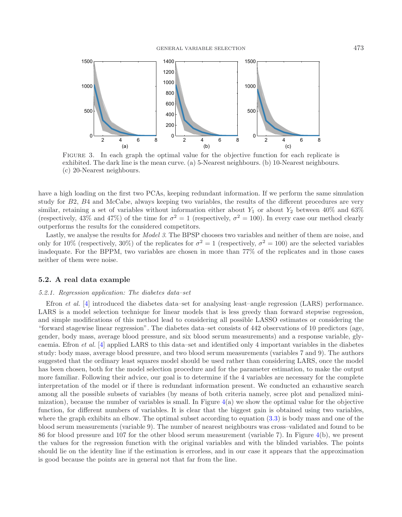<span id="page-10-0"></span>

Figure 3. In each graph the optimal value for the objective function for each replicate is exhibited. The dark line is the mean curve. (a) 5-Nearest neighbours. (b) 10-Nearest neighbours. (c) 20-Nearest neighbours.

have a high loading on the first two PCAs, keeping redundant information. If we perform the same simulation study for B2, B4 and McCabe, always keeping two variables, the results of the different procedures are very similar, retaining a set of variables without information either about  $Y_1$  or about  $Y_2$  between 40% and 63% (respectively, 43% and 47%) of the time for  $\sigma^2 = 1$  (respectively,  $\sigma^2 = 100$ ). In every case our method clearly outperforms the results for the considered competitors.

Lastly, we analyse the results for *Model 3*. The BPSP chooses two variables and neither of them are noise, and only for 10% (respectively, 30%) of the replicates for  $\sigma^2 = 1$  (respectively,  $\sigma^2 = 100$ ) are the selected variables inadequate. For the BPPM, two variables are chosen in more than 77% of the replicates and in those cases neither of them were noise.

### **5.2. A real data example**

#### *5.2.1. Regression application: The diabetes data–set*

Efron *et al.* [\[4](#page-15-6)] introduced the diabetes data–set for analysing least–angle regression (LARS) performance. LARS is a model selection technique for linear models that is less greedy than forward stepwise regression, and simple modifications of this method lead to considering all possible LASSO estimates or considering the "forward stagewise linear regression". The diabetes data–set consists of 442 observations of 10 predictors (age, gender, body mass, average blood pressure, and six blood serum measurements) and a response variable, glycaemia. Efron *et al.* [\[4\]](#page-15-6) applied LARS to this data–set and identified only 4 important variables in the diabetes study: body mass, average blood pressure, and two blood serum measurements (variables 7 and 9). The authors suggested that the ordinary least squares model should be used rather than considering LARS, once the model has been chosen, both for the model selection procedure and for the parameter estimation, to make the output more familiar. Following their advice, our goal is to determine if the 4 variables are necessary for the complete interpretation of the model or if there is redundant information present. We conducted an exhaustive search among all the possible subsets of variables (by means of both criteria namely, scree plot and penalized minimization), because the number of variables is small. In Figure  $4(a)$  $4(a)$  we show the optimal value for the objective function, for different numbers of variables. It is clear that the biggest gain is obtained using two variables, where the graph exhibits an elbow. The optimal subset according to equation [\(3.3\)](#page-4-0) is body mass and one of the blood serum measurements (variable 9). The number of nearest neighbours was cross–validated and found to be 86 for blood pressure and 107 for the other blood serum measurement (variable 7). In Figure [4\(](#page-11-0)b), we present the values for the regression function with the original variables and with the blinded variables. The points should lie on the identity line if the estimation is errorless, and in our case it appears that the approximation is good because the points are in general not that far from the line.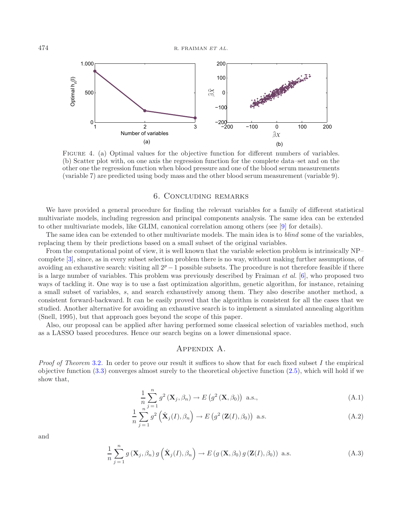<span id="page-11-0"></span>

Figure 4. (a) Optimal values for the objective function for different numbers of variables. (b) Scatter plot with, on one axis the regression function for the complete data–set and on the other one the regression function when blood pressure and one of the blood serum measurements (variable 7) are predicted using body mass and the other blood serum measurement (variable 9).

### 6. Concluding remarks

We have provided a general procedure for finding the relevant variables for a family of different statistical multivariate models, including regression and principal components analysis. The same idea can be extended to other multivariate models, like GLIM, canonical correlation among others (see [\[9\]](#page-15-3) for details).

The same idea can be extended to other multivariate models. The main idea is to *blind* some of the variables, replacing them by their predictions based on a small subset of the original variables.

From the computational point of view, it is well known that the variable selection problem is intrinsically NP– complete [\[3](#page-15-8)], since, as in every subset selection problem there is no way, without making further assumptions, of avoiding an exhaustive search: visiting all  $2^p - 1$  possible subsets. The procedure is not therefore feasible if there is a large number of variables. This problem was previously described by Fraiman *et al.* [\[6\]](#page-15-2), who proposed two ways of tackling it. One way is to use a fast optimization algorithm, genetic algorithm, for instance, retaining a small subset of variables, s, and search exhaustively among them. They also describe another method, a consistent forward-backward. It can be easily proved that the algorithm is consistent for all the cases that we studied. Another alternative for avoiding an exhaustive search is to implement a simulated annealing algorithm (Snell, 1995), but that approach goes beyond the scope of this paper.

Also, our proposal can be applied after having performed some classical selection of variables method, such as a LASSO based procedures. Hence our search begins on a lower dimensional space.

# Appendix A.

*Proof of Theorem* [3.2](#page-4-1)*.* In order to prove our result it suffices to show that for each fixed subset I the empirical objective function [\(3.3\)](#page-4-0) converges almost surely to the theoretical objective function [\(2.5\)](#page-3-0), which will hold if we show that,

$$
\frac{1}{n}\sum_{j=1}^{n}g^{2}\left(\mathbf{X}_{j},\beta_{n}\right)\to E\left(g^{2}\left(\mathbf{X},\beta_{0}\right)\right) \text{ a.s.},\tag{A.1}
$$

<span id="page-11-1"></span>
$$
\frac{1}{n}\sum_{j=1}^{n}g^{2}\left(\hat{\mathbf{X}}_{j}(I),\beta_{n}\right)\to E\left(g^{2}\left(\mathbf{Z}(I),\beta_{0}\right)\right) \text{ a.s.}\tag{A.2}
$$

<span id="page-11-3"></span>and

<span id="page-11-2"></span>
$$
\frac{1}{n}\sum_{j=1}^{n}g\left(\mathbf{X}_{j},\beta_{n}\right)g\left(\hat{\mathbf{X}}_{j}(I),\beta_{n}\right)\to E\left(g\left(\mathbf{X},\beta_{0}\right)g\left(\mathbf{Z}(I),\beta_{0}\right)\right) \text{ a.s.}\tag{A.3}
$$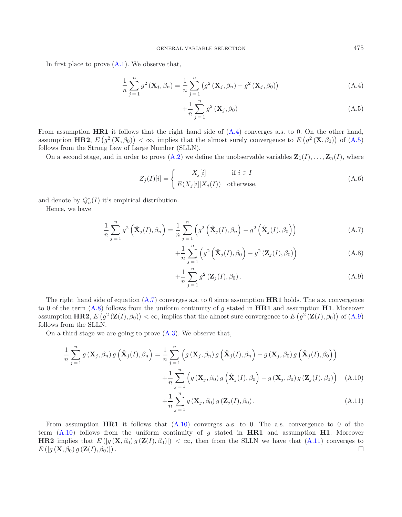<span id="page-12-0"></span>In first place to prove  $(A.1)$ . We observe that,

$$
\frac{1}{n}\sum_{j=1}^{n}g^{2}\left(\mathbf{X}_{j},\beta_{n}\right)=\frac{1}{n}\sum_{j=1}^{n}\left(g^{2}\left(\mathbf{X}_{j},\beta_{n}\right)-g^{2}\left(\mathbf{X}_{j},\beta_{0}\right)\right)
$$
(A.4)

$$
+\frac{1}{n}\sum_{j=1}^{n}g^{2}\left(\mathbf{X}_{j},\beta_{0}\right)
$$
\n(A.5)

From assumption **HR1** it follows that the right–hand side of [\(A.4\)](#page-12-0) converges a.s. to 0. On the other hand, assumption **HR2**,  $E(g^2(\mathbf{X}, \beta_0)) < \infty$ , implies that the almost surely convergence to  $E(g^2(\mathbf{X}, \beta_0))$  of  $(A.5)$ follows from the Strong Law of Large Number (SLLN).

On a second stage, and in order to prove  $(A.2)$  we define the unobservable variables  $\mathbf{Z}_1(I), \ldots, \mathbf{Z}_n(I)$ , where

$$
Z_j(I)[i] = \begin{cases} X_j[i] & \text{if } i \in I \\ E(X_j[i]|X_j(I)) & \text{otherwise,} \end{cases}
$$
 (A.6)

and denote by  $Q_n^*(I)$  it's empirical distribution.

<span id="page-12-1"></span>Hence, we have

<span id="page-12-3"></span>
$$
\frac{1}{n}\sum_{j=1}^{n}g^{2}\left(\hat{\mathbf{X}}_{j}(I),\beta_{n}\right)=\frac{1}{n}\sum_{j=1}^{n}\left(g^{2}\left(\hat{\mathbf{X}}_{j}(I),\beta_{n}\right)-g^{2}\left(\hat{\mathbf{X}}_{j}(I),\beta_{0}\right)\right)
$$
(A.7)

$$
+\frac{1}{n}\sum_{j=1}^{n}\left(g^{2}\left(\hat{\mathbf{X}}_{j}(I),\beta_{0}\right)-g^{2}\left(\mathbf{Z}_{j}(I),\beta_{0}\right)\right)
$$
(A.8)

$$
+\frac{1}{n}\sum_{j=1}^{n}g^{2}\left(\mathbf{Z}_{j}(I),\beta_{0}\right).
$$
 (A.9)

The right–hand side of equation [\(A.7\)](#page-12-1) converges a.s. to 0 since assumption **HR1** holds. The a.s. convergence to 0 of the term [\(A.8\)](#page-12-1) follows from the uniform continuity of g stated in **HR1** and assumption **H1**. Moreover assumption **HR2**,  $E(g^2(\mathbf{Z}(I), \beta_0)) < \infty$ , implies that the almost sure convergence to  $E(g^2(\mathbf{Z}(I), \beta_0))$  of  $(A.9)$ follows from the SLLN.

<span id="page-12-2"></span>On a third stage we are going to prove [\(A.3\)](#page-11-3). We observe that,

$$
\frac{1}{n}\sum_{j=1}^{n}g\left(\mathbf{X}_{j},\beta_{n}\right)g\left(\hat{\mathbf{X}}_{j}(I),\beta_{n}\right) = \frac{1}{n}\sum_{j=1}^{n}\left(g\left(\mathbf{X}_{j},\beta_{n}\right)g\left(\hat{\mathbf{X}}_{j}(I),\beta_{n}\right) - g\left(\mathbf{X}_{j},\beta_{0}\right)g\left(\hat{\mathbf{X}}_{j}(I),\beta_{0}\right)\right) \n+ \frac{1}{n}\sum_{j=1}^{n}\left(g\left(\mathbf{X}_{j},\beta_{0}\right)g\left(\hat{\mathbf{X}}_{j}(I),\beta_{0}\right) - g\left(\mathbf{X}_{j},\beta_{0}\right)g\left(\mathbf{Z}_{j}(I),\beta_{0}\right)\right) \quad (A.10)
$$

$$
+\frac{1}{n}\sum_{j=1}^{n}g\left(\mathbf{X}_{j},\beta_{0}\right)g\left(\mathbf{Z}_{j}(I),\beta_{0}\right).
$$
\n(A.11)

From assumption **HR1** it follows that  $(A.10)$  converges a.s. to 0. The a.s. convergence to 0 of the term [\(A.10\)](#page-12-2) follows from the uniform continuity of g stated in **HR1** and assumption **H1**. Moreover **HR2** implies that  $E(|g(\mathbf{X},\beta_0)g(\mathbf{Z}(I),\beta_0)|)<\infty$ , then from the SLLN we have that  $(A.11)$  converges to  $E\left(|g\left(\mathbf{X},\beta_0\right)g\left(\mathbf{Z}(I),\beta_0\right)\right).$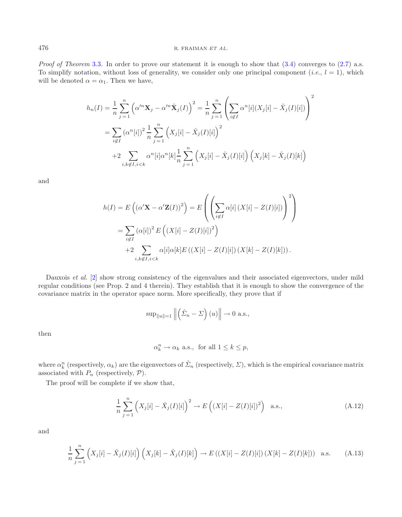*Proof of Theorem* [3.3](#page-5-0). In order to prove our statement it is enough to show that [\(3.4\)](#page-4-2) converges to [\(2.7\)](#page-3-1) a.s. To simplify notation, without loss of generality, we consider only one principal component (*i.e.*,  $l = 1$ ), which will be denoted  $\alpha = \alpha_1$ . Then we have,

$$
h_n(I) = \frac{1}{n} \sum_{j=1}^n \left( \alpha^m \mathbf{X}_j - \alpha^m \hat{\mathbf{X}}_j(I) \right)^2 = \frac{1}{n} \sum_{j=1}^n \left( \sum_{i \notin I} \alpha^n[i] (X_j[i] - \hat{X}_j(I)[i]) \right)^2
$$
  
= 
$$
\sum_{i \notin I} (\alpha^n[i])^2 \frac{1}{n} \sum_{j=1}^n \left( X_j[i] - \hat{X}_j(I)[i] \right)^2
$$
  
+ 
$$
2 \sum_{i,k \notin I, i < k} \alpha^n[i] \alpha^n[k] \frac{1}{n} \sum_{j=1}^n \left( X_j[i] - \hat{X}_j(I)[i] \right) \left( X_j[k] - \hat{X}_j(I)[k] \right)
$$

and

$$
h(I) = E\left(\left(\alpha' \mathbf{X} - \alpha' \mathbf{Z}(I)\right)^2\right) = E\left(\left(\sum_{i \notin I} \alpha[i] \left(X[i] - Z(I)[i]\right)\right)^2\right)
$$
  
= 
$$
\sum_{i \notin I} \left(\alpha[i]\right)^2 E\left(\left(X[i] - Z(I)[i]\right)^2\right)
$$
  
+ 
$$
2 \sum_{i,k \notin I, i < k} \alpha[i] \alpha[k] E\left(\left(X[i] - Z(I)[i]\right) \left(X[k] - Z(I)[k]\right)\right).
$$

Dauxois *et al.* [\[2](#page-15-5)] show strong consistency of the eigenvalues and their associated eigenvectors, under mild regular conditions (see Prop. 2 and 4 therein). They establish that it is enough to show the convergence of the covariance matrix in the operator space norm. More specifically, they prove that if

$$
\sup_{\|u\|=1}\left\|\left(\hat{\Sigma}_n-\Sigma\right)(u)\right\|\to 0 \text{ a.s.},
$$

then

$$
\alpha_k^n \to \alpha_k \text{ a.s., for all } 1 \le k \le p,
$$

where  $\alpha_k^n$  (respectively,  $\alpha_k$ ) are the eigenvectors of  $\hat{\Sigma}_n$  (respectively,  $\Sigma$ ), which is the empirical covariance matrix associated with  $P_n$  (respectively,  $P$ ).

<span id="page-13-0"></span>The proof will be complete if we show that,

$$
\frac{1}{n}\sum_{j=1}^{n} (X_j[i] - \hat{X}_j(I)[i])^2 \to E\left( (X[i] - Z(I)[i])^2 \right) \text{ a.s.}, \tag{A.12}
$$

<span id="page-13-1"></span>and

$$
\frac{1}{n}\sum_{j=1}^{n} \left( X_j[i] - \hat{X}_j(I)[i] \right) \left( X_j[k] - \hat{X}_j(I)[k] \right) \to E\left( (X[i] - Z(I)[i]) (X[k] - Z(I)[k]) \right) \text{ a.s.} \tag{A.13}
$$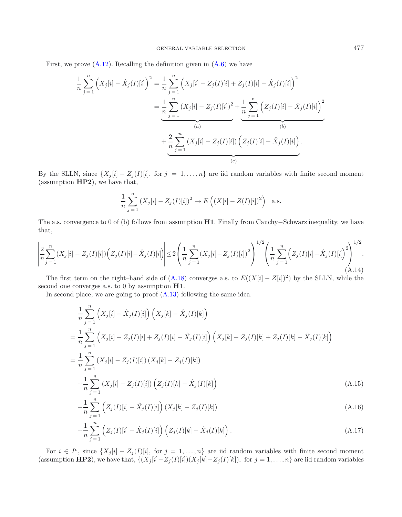First, we prove  $(A.12)$ . Recalling the definition given in  $(A.6)$  we have

$$
\frac{1}{n} \sum_{j=1}^{n} \left( X_j[i] - \hat{X}_j(I)[i] \right)^2 = \frac{1}{n} \sum_{j=1}^{n} \left( X_j[i] - Z_j(I)[i] + Z_j(I)[i] - \hat{X}_j(I)[i] \right)^2
$$

$$
= \underbrace{\frac{1}{n} \sum_{j=1}^{n} (X_j[i] - Z_j(I)[i])^2}_{(a)} + \underbrace{\frac{1}{n} \sum_{j=1}^{n} \left( Z_j(I)[i] - \hat{X}_j(I)[i] \right)^2}_{(b)}
$$

$$
+ \underbrace{\frac{2}{n} \sum_{j=1}^{n} (X_j[i] - Z_j(I)[i]) \left( Z_j(I)[i] - \hat{X}_j(I)[i] \right)}_{(c)}
$$

By the SLLN, since  $\{X_j[i] - Z_j(I)[i]\}$ , for  $j = 1, \ldots, n\}$  are iid random variables with finite second moment (assumption **HP2**), we have that,

$$
\frac{1}{n}\sum_{j=1}^{n} (X_j[i] - Z_j(I)[i])^2 \to E\left( (X[i] - Z(I)[i])^2 \right)
$$
 a.s.

The a.s. convergence to 0 of (b) follows from assumption **H1**. Finally from Cauchy−Schwarz inequality, we have that,

$$
\left| \frac{2}{n} \sum_{j=1}^{n} (X_j[i] - Z_j(I)[i]) \left( Z_j(I)[i] - \hat{X}_j(I)[i] \right) \right| \le 2 \left( \frac{1}{n} \sum_{j=1}^{n} (X_j[i] - Z_j(I)[i])^2 \right)^{1/2} \left( \frac{1}{n} \sum_{j=1}^{n} \left( Z_j(I)[i] - \hat{X}_j(I)[i] \right)^2 \right)^{1/2}.
$$
\n(A.14)

The first term on the right–hand side of (A.18) converges a.s. to  $E((X[i] - Z[i])^2)$  by the SLLN, while the second one converges a.s. to 0 by assumption **H1**.

<span id="page-14-0"></span>In second place, we are going to proof  $(A.13)$  following the same idea.

$$
\frac{1}{n} \sum_{j=1}^{n} \left( X_{j}[i] - \hat{X}_{j}(I)[i] \right) \left( X_{j}[k] - \hat{X}_{j}(I)[k] \right)
$$
\n
$$
= \frac{1}{n} \sum_{j=1}^{n} \left( X_{j}[i] - Z_{j}(I)[i] + Z_{j}(I)[i] - \hat{X}_{j}(I)[i] \right) \left( X_{j}[k] - Z_{j}(I)[k] + Z_{j}(I)[k] - \hat{X}_{j}(I)[k] \right)
$$
\n
$$
= \frac{1}{n} \sum_{j=1}^{n} \left( X_{j}[i] - Z_{j}(I)[i] \right) \left( X_{j}[k] - Z_{j}(I)[k] \right)
$$
\n
$$
+ \frac{1}{n} \sum_{j=1}^{n} \left( X_{j}[i] - Z_{j}(I)[i] \right) \left( Z_{j}(I)[k] - \hat{X}_{j}(I)[k] \right) \tag{A.15}
$$

$$
+\frac{1}{n}\sum_{j=1}^{n}\left(Z_{j}(I)[i]-\hat{X}_{j}(I)[i]\right)(X_{j}[k]-Z_{j}(I)[k])
$$
\n(A.16)

$$
+\frac{1}{n}\sum_{j=1}^{n}\left(Z_{j}(I)[i] - \hat{X}_{j}(I)[i]\right)\left(Z_{j}(I)[k] - \hat{X}_{j}(I)[k]\right).
$$
\n(A.17)

For  $i \in I^c$ , since  $\{X_j[i] - Z_j(I)[i]\}$ , for  $j = 1, \ldots, n\}$  are iid random variables with finite second moment (assumption **HP2**), we have that,  $\{(X_j[i]-Z_j(I)[i])(X_j[k]-Z_j(I)[k]),$  for  $j=1,\ldots,n\}$  are iid random variables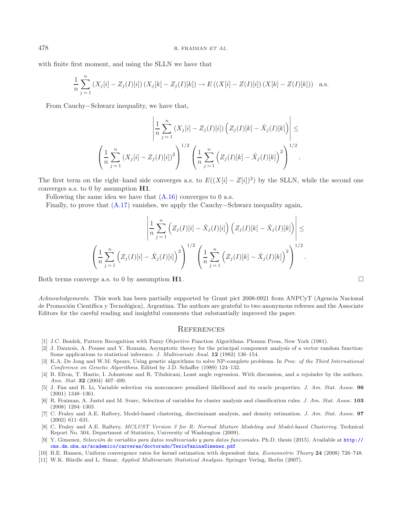with finite first moment, and using the SLLN we have that

$$
\frac{1}{n}\sum_{j=1}^{n} (X_j[i] - Z_j(I)[i]) (X_j[k] - Z_j(I)[k]) \to E((X[i] - Z(I)[i]) (X[k] - Z(I)[k])) \text{ a.s.}
$$

From Cauchy−Schwarz inequality, we have that,

$$
\left| \frac{1}{n} \sum_{j=1}^{n} (X_j[i] - Z_j(I)[i]) \left( Z_j(I)[k] - \hat{X}_j(I)[k] \right) \right| \le
$$
  

$$
\left( \frac{1}{n} \sum_{j=1}^{n} (X_j[i] - Z_j(I)[i])^2 \right)^{1/2} \left( \frac{1}{n} \sum_{j=1}^{n} \left( Z_j(I)[k] - \hat{X}_j(I)[k] \right)^2 \right)^{1/2}.
$$

The first term on the right–hand side converges a.s. to  $E((X[i] - Z[i])^2)$  by the SLLN, while the second one converges a.s. to 0 by assumption **H1**.

Following the same idea we have that  $(A.16)$  converges to 0 a.s.

Finally, to prove that [\(A.17\)](#page-14-0) vanishes, we apply the Cauchy−Schwarz inequality again,

$$
\left| \frac{1}{n} \sum_{j=1}^{n} \left( Z_j(I)[i] - \hat{X}_j(I)[i] \right) \left( Z_j(I)[k] - \hat{X}_j(I)[k] \right) \right| \le
$$
  

$$
\left( \frac{1}{n} \sum_{j=1}^{n} \left( Z_j(I)[i] - \hat{X}_j(I)[i] \right)^2 \right)^{1/2} \left( \frac{1}{n} \sum_{j=1}^{n} \left( Z_j(I)[k] - \hat{X}_j(I)[k] \right)^2 \right)^{1/2}.
$$

Both terms converge a.s. to 0 by assumption  $H1$ .

*Acknowledgements.* This work has been partially supported by Grant pict 2008-0921 from ANPCyT (Agencia Nacional de Promoción Científica y Tecnológica), Argentina. The authors are grateful to two anonymous referees and the Associate Editors for the careful reading and insightful comments that substantially improved the paper.

#### **REFERENCES**

- [1] J.C. Bezdek, Pattern Recognition with Fuzzy Objective Function Algorithms. Plenum Press, New York (1981).
- <span id="page-15-5"></span>[2] J. Dauxois, A. Pousse and Y. Romain, Asymptotic theory for the principal component analysis of a vector random function: Some applications to statistical inference. *J. Multivariate Anal.* **12** (1982) 136–154.
- <span id="page-15-8"></span>[3] K.A. De Jong and W.M. Spears, Using genetic algorithms to solve NP-complete problems. In *Proc. of the Third International Conference on Genetic Algorithms*. Edited by J.D. Schaffer (1989) 124–132.
- <span id="page-15-6"></span>[4] B. Efron, T. Hastie, I. Johnstone and R. Tibshirani, Least angle regression. With discussion, and a rejoinder by the authors. *Ann. Stat.* **32** (2004) 407–499.
- <span id="page-15-7"></span>[5] J. Fan and R. Li, Variable selection via nonconcave penalized likelihood and its oracle properties. *J. Am. Stat. Assoc.* **96** (2001) 1348–1361.
- <span id="page-15-2"></span>[6] R. Fraiman, A. Justel and M. Svarc, Selection of variables for cluster analysis and classification rules. *J. Am. Stat. Assoc.* **103** (2008) 1294–1303.
- <span id="page-15-0"></span>[7] C. Fraley and A.E. Raftery, Model-based clustering, discriminant analysis, and density estimation. *J. Am. Stat. Assoc.* **97** (2002) 611–631.
- <span id="page-15-1"></span>[8] C. Fraley and A.E. Raftery, *MCLUST Version 3 for R: Normal Mixture Modeling and Model-based Clustering*. Technical Report No. 504, Department of Statistics, University of Washington (2009).
- [9] Y. Gimenez, *Selecci´on de variables para datos multivariado y para datos funcionales*. Ph.D. thesis (2015). Available at [http://](http://cms.dm.uba.ar/academico/carreras/doctorado/TesisYaninaGimenez.pdf) [cms.dm.uba.ar/academico/carreras/doctorado/TesisYaninaGimenez.pdf](http://cms.dm.uba.ar/academico/carreras/doctorado/TesisYaninaGimenez.pdf)
- <span id="page-15-4"></span><span id="page-15-3"></span>[10] B.E. Hansen, Uniform convergence rates for kernel estimation with dependent data. *Econometric Theory* **24** (2008) 726–748.
- [11] W.K. Härdle and L. Simar, *Applied Multivariate Statistical Analysis*. Springer Verlag, Berlin (2007).